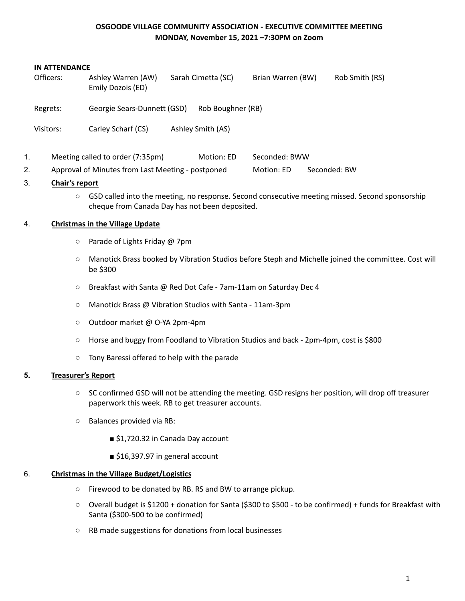## **OSGOODE VILLAGE COMMUNITY ASSOCIATION - EXECUTIVE COMMITTEE MEETING MONDAY, November 15, 2021 –7:30PM on Zoom**

#### **IN ATTENDANCE**

| Officers: | Ashley Warren (AW)<br>Emily Dozois (ED) | Sarah Cimetta (SC) | Brian Warren (BW) | Rob Smith (RS) |
|-----------|-----------------------------------------|--------------------|-------------------|----------------|
| Regrets:  | Georgie Sears-Dunnett (GSD)             | Rob Boughner (RB)  |                   |                |
| Visitors: | Carley Scharf (CS)                      | Ashley Smith (AS)  |                   |                |
| 1.        | Meeting called to order (7:35pm)        | Motion: ED         | Seconded: BWW     |                |

2. Approval of Minutes from Last Meeting - postponed Motion: ED Seconded: BW

## 3. **Chair's report**

○ GSD called into the meeting, no response. Second consecutive meeting missed. Second sponsorship cheque from Canada Day has not been deposited.

### 4. **Christmas in the Village Update**

- Parade of Lights Friday @ 7pm
- Manotick Brass booked by Vibration Studios before Steph and Michelle joined the committee. Cost will be \$300
- Breakfast with Santa @ Red Dot Cafe 7am-11am on Saturday Dec 4
- Manotick Brass @ Vibration Studios with Santa 11am-3pm
- Outdoor market @ O-YA 2pm-4pm
- Horse and buggy from Foodland to Vibration Studios and back 2pm-4pm, cost is \$800
- Tony Baressi offered to help with the parade

## **5. Treasurer's Report**

- SC confirmed GSD will not be attending the meeting. GSD resigns her position, will drop off treasurer paperwork this week. RB to get treasurer accounts.
- Balances provided via RB:
	- \$1,720.32 in Canada Day account
	- \$16,397.97 in general account

# 6. **Christmas in the Village Budget/Logistics**

- Firewood to be donated by RB. RS and BW to arrange pickup.
- Overall budget is \$1200 + donation for Santa (\$300 to \$500 to be confirmed) + funds for Breakfast with Santa (\$300-500 to be confirmed)
- RB made suggestions for donations from local businesses